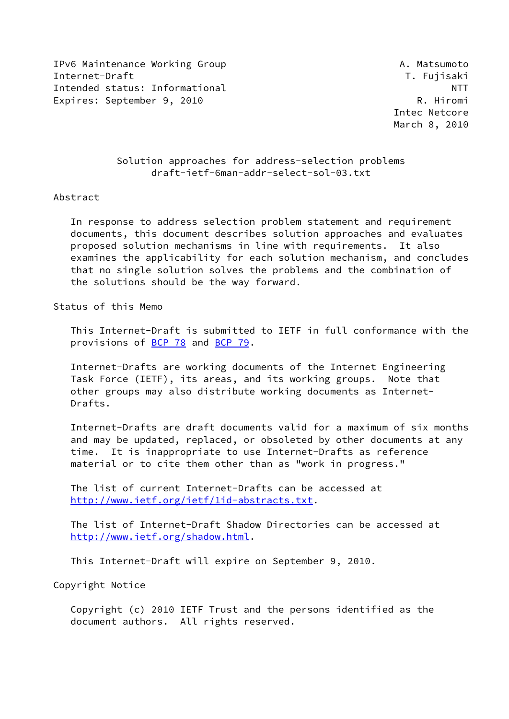IPv6 Maintenance Working Group A. Matsumoto Internet-Draft T. Fujisaki Intended status: Informational NTT Expires: September 9, 2010 R. Hiromi

 Intec Netcore March 8, 2010

# Solution approaches for address-selection problems draft-ietf-6man-addr-select-sol-03.txt

### Abstract

 In response to address selection problem statement and requirement documents, this document describes solution approaches and evaluates proposed solution mechanisms in line with requirements. It also examines the applicability for each solution mechanism, and concludes that no single solution solves the problems and the combination of the solutions should be the way forward.

Status of this Memo

 This Internet-Draft is submitted to IETF in full conformance with the provisions of [BCP 78](https://datatracker.ietf.org/doc/pdf/bcp78) and [BCP 79](https://datatracker.ietf.org/doc/pdf/bcp79).

 Internet-Drafts are working documents of the Internet Engineering Task Force (IETF), its areas, and its working groups. Note that other groups may also distribute working documents as Internet- Drafts.

 Internet-Drafts are draft documents valid for a maximum of six months and may be updated, replaced, or obsoleted by other documents at any time. It is inappropriate to use Internet-Drafts as reference material or to cite them other than as "work in progress."

 The list of current Internet-Drafts can be accessed at <http://www.ietf.org/ietf/1id-abstracts.txt>.

 The list of Internet-Draft Shadow Directories can be accessed at <http://www.ietf.org/shadow.html>.

This Internet-Draft will expire on September 9, 2010.

Copyright Notice

 Copyright (c) 2010 IETF Trust and the persons identified as the document authors. All rights reserved.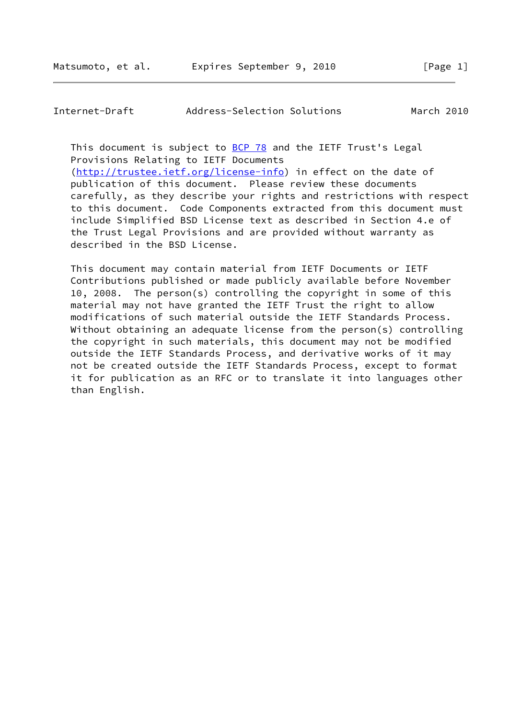Internet-Draft Address-Selection Solutions March 2010

This document is subject to [BCP 78](https://datatracker.ietf.org/doc/pdf/bcp78) and the IETF Trust's Legal Provisions Relating to IETF Documents [\(http://trustee.ietf.org/license-info](http://trustee.ietf.org/license-info)) in effect on the date of publication of this document. Please review these documents carefully, as they describe your rights and restrictions with respect to this document. Code Components extracted from this document must

 include Simplified BSD License text as described in Section 4.e of the Trust Legal Provisions and are provided without warranty as described in the BSD License.

 This document may contain material from IETF Documents or IETF Contributions published or made publicly available before November 10, 2008. The person(s) controlling the copyright in some of this material may not have granted the IETF Trust the right to allow modifications of such material outside the IETF Standards Process. Without obtaining an adequate license from the person(s) controlling the copyright in such materials, this document may not be modified outside the IETF Standards Process, and derivative works of it may not be created outside the IETF Standards Process, except to format it for publication as an RFC or to translate it into languages other than English.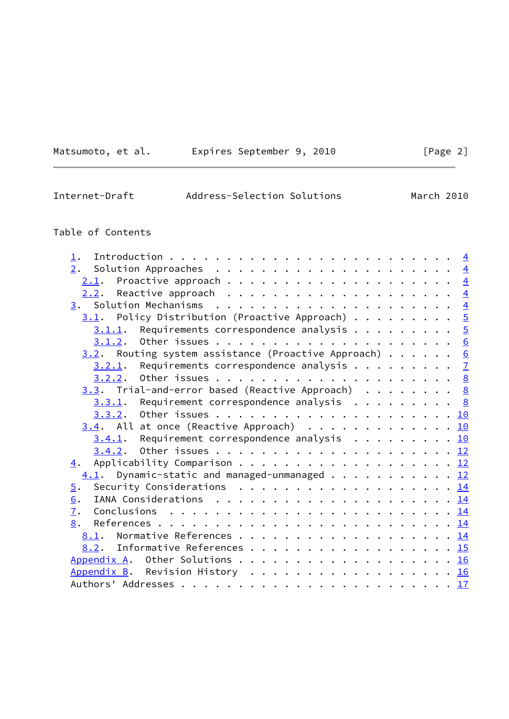| Matsumoto, | et al. |
|------------|--------|
|            |        |

# Expires September 9, 2010 [Page 2]

# Internet-Draft Address-Selection Solutions March 2010

# Table of Contents

| $\perp$ .                                                                                                    |  |  |
|--------------------------------------------------------------------------------------------------------------|--|--|
| 2.                                                                                                           |  |  |
|                                                                                                              |  |  |
|                                                                                                              |  |  |
|                                                                                                              |  |  |
| $\underline{3.1}$ . Policy Distribution (Proactive Approach) 5                                               |  |  |
| $3.1.1$ . Requirements correspondence analysis 5                                                             |  |  |
|                                                                                                              |  |  |
| $3.2$ . Routing system assistance (Proactive Approach) 6                                                     |  |  |
| $3.2.1$ . Requirements correspondence analysis $\frac{7}{2}$                                                 |  |  |
|                                                                                                              |  |  |
| $3.3$ . Trial-and-error based (Reactive Approach) 8                                                          |  |  |
| $3.3.1$ . Requirement correspondence analysis 8                                                              |  |  |
|                                                                                                              |  |  |
| $3.4$ . All at once (Reactive Approach) 10                                                                   |  |  |
| $3.4.1$ . Requirement correspondence analysis 10                                                             |  |  |
|                                                                                                              |  |  |
| Applicability Comparison 12<br>4.                                                                            |  |  |
| $\underline{4.1}$ . Dynamic-static and managed-unmanaged 12                                                  |  |  |
| Security Considerations $\ldots \ldots \ldots \ldots \ldots \ldots \ldots \frac{14}{14}$<br>$\overline{5}$ . |  |  |
| 6.                                                                                                           |  |  |
| $\overline{1}$ .                                                                                             |  |  |
| 8.                                                                                                           |  |  |
| 8.1. Normative References 14                                                                                 |  |  |
| 8.2. Informative References 15                                                                               |  |  |
| Appendix A. Other Solutions 16                                                                               |  |  |
| Appendix B. Revision History 16                                                                              |  |  |
|                                                                                                              |  |  |
|                                                                                                              |  |  |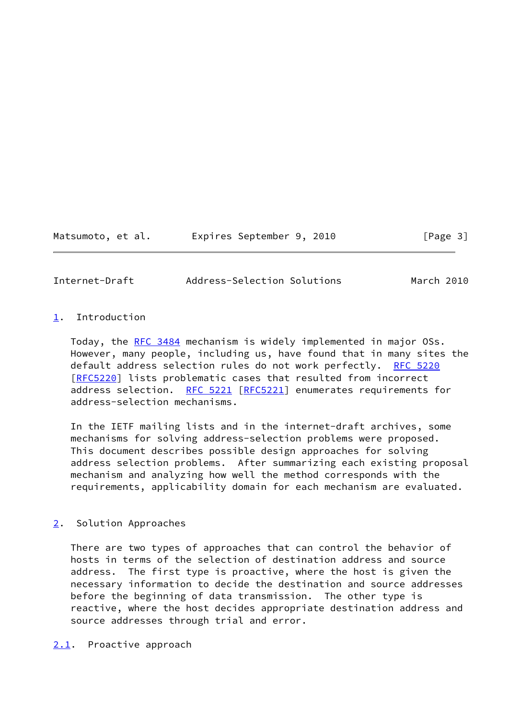Matsumoto, et al. Expires September 9, 2010 [Page 3]

<span id="page-3-1"></span>Internet-Draft Address-Selection Solutions March 2010

## <span id="page-3-0"></span>[1](#page-3-0). Introduction

 Today, the [RFC 3484](https://datatracker.ietf.org/doc/pdf/rfc3484) mechanism is widely implemented in major OSs. However, many people, including us, have found that in many sites the default address selection rules do not work perfectly. [RFC 5220](https://datatracker.ietf.org/doc/pdf/rfc5220) [\[RFC5220](https://datatracker.ietf.org/doc/pdf/rfc5220)] lists problematic cases that resulted from incorrect address selection. [RFC 5221 \[RFC5221](https://datatracker.ietf.org/doc/pdf/rfc5221)] enumerates requirements for address-selection mechanisms.

 In the IETF mailing lists and in the internet-draft archives, some mechanisms for solving address-selection problems were proposed. This document describes possible design approaches for solving address selection problems. After summarizing each existing proposal mechanism and analyzing how well the method corresponds with the requirements, applicability domain for each mechanism are evaluated.

# <span id="page-3-2"></span>[2](#page-3-2). Solution Approaches

 There are two types of approaches that can control the behavior of hosts in terms of the selection of destination address and source address. The first type is proactive, where the host is given the necessary information to decide the destination and source addresses before the beginning of data transmission. The other type is reactive, where the host decides appropriate destination address and source addresses through trial and error.

<span id="page-3-3"></span>[2.1](#page-3-3). Proactive approach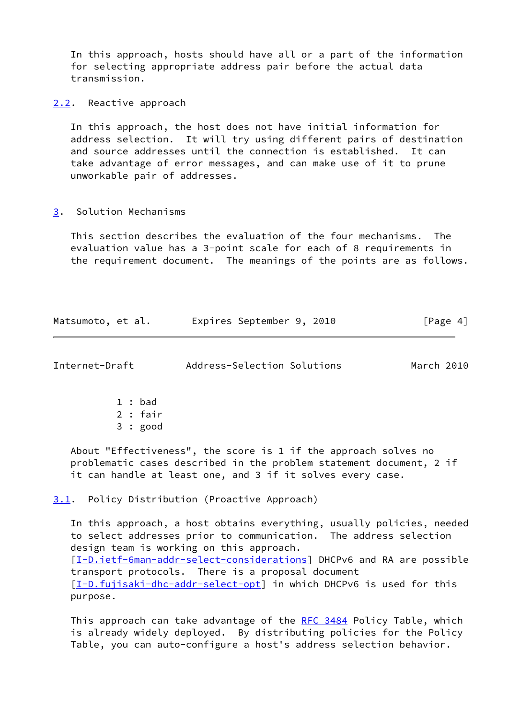In this approach, hosts should have all or a part of the information for selecting appropriate address pair before the actual data transmission.

<span id="page-4-0"></span>[2.2](#page-4-0). Reactive approach

 In this approach, the host does not have initial information for address selection. It will try using different pairs of destination and source addresses until the connection is established. It can take advantage of error messages, and can make use of it to prune unworkable pair of addresses.

<span id="page-4-1"></span>[3](#page-4-1). Solution Mechanisms

 This section describes the evaluation of the four mechanisms. The evaluation value has a 3-point scale for each of 8 requirements in the requirement document. The meanings of the points are as follows.

| Matsumoto, et al. | Expires September 9, 2010 | [Page 4] |
|-------------------|---------------------------|----------|
|-------------------|---------------------------|----------|

<span id="page-4-3"></span>Internet-Draft Address-Selection Solutions March 2010

 1 : bad 2 : fair

3 : good

 About "Effectiveness", the score is 1 if the approach solves no problematic cases described in the problem statement document, 2 if it can handle at least one, and 3 if it solves every case.

<span id="page-4-2"></span>[3.1](#page-4-2). Policy Distribution (Proactive Approach)

 In this approach, a host obtains everything, usually policies, needed to select addresses prior to communication. The address selection design team is working on this approach. [\[I-D.ietf-6man-addr-select-considerations](#page-16-1)] DHCPv6 and RA are possible transport protocols. There is a proposal document [\[I-D.fujisaki-dhc-addr-select-opt](#page-16-2)] in which DHCPv6 is used for this purpose.

This approach can take advantage of the [RFC 3484](https://datatracker.ietf.org/doc/pdf/rfc3484) Policy Table, which is already widely deployed. By distributing policies for the Policy Table, you can auto-configure a host's address selection behavior.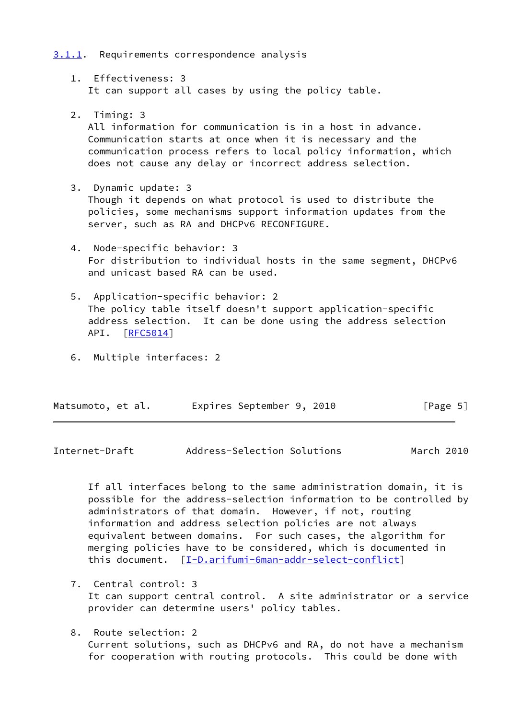## <span id="page-5-0"></span>[3.1.1](#page-5-0). Requirements correspondence analysis

 1. Effectiveness: 3 It can support all cases by using the policy table.

## 2. Timing: 3

 All information for communication is in a host in advance. Communication starts at once when it is necessary and the communication process refers to local policy information, which does not cause any delay or incorrect address selection.

3. Dynamic update: 3

 Though it depends on what protocol is used to distribute the policies, some mechanisms support information updates from the server, such as RA and DHCPv6 RECONFIGURE.

- 4. Node-specific behavior: 3 For distribution to individual hosts in the same segment, DHCPv6 and unicast based RA can be used.
- 5. Application-specific behavior: 2 The policy table itself doesn't support application-specific address selection. It can be done using the address selection API. [\[RFC5014](https://datatracker.ietf.org/doc/pdf/rfc5014)]
- 6. Multiple interfaces: 2

| Matsumoto, et al. | Expires September 9, 2010 |  | [Page 5] |
|-------------------|---------------------------|--|----------|
|-------------------|---------------------------|--|----------|

<span id="page-5-1"></span>Internet-Draft Address-Selection Solutions March 2010

 If all interfaces belong to the same administration domain, it is possible for the address-selection information to be controlled by administrators of that domain. However, if not, routing information and address selection policies are not always equivalent between domains. For such cases, the algorithm for merging policies have to be considered, which is documented in this document. [[I-D.arifumi-6man-addr-select-conflict\]](#page-16-3)

- 7. Central control: 3 It can support central control. A site administrator or a service provider can determine users' policy tables.
- 8. Route selection: 2 Current solutions, such as DHCPv6 and RA, do not have a mechanism for cooperation with routing protocols. This could be done with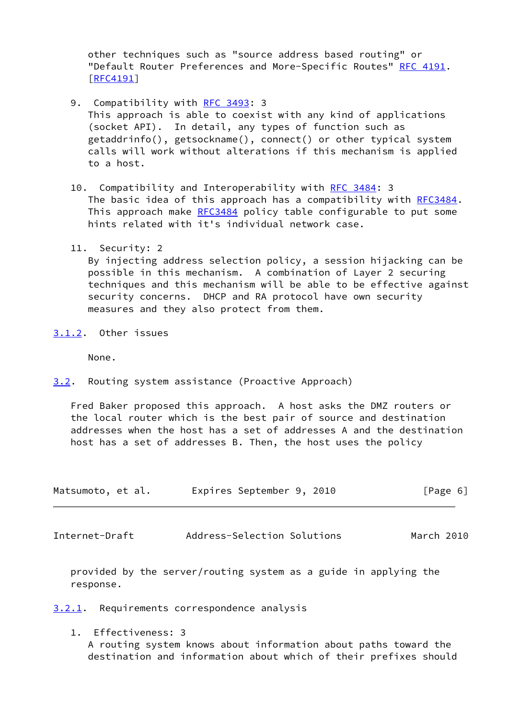other techniques such as "source address based routing" or "Default Router Preferences and More-Specific Routes" [RFC 4191](https://datatracker.ietf.org/doc/pdf/rfc4191). [[RFC4191\]](https://datatracker.ietf.org/doc/pdf/rfc4191)

- 9. Compatibility with [RFC 3493:](https://datatracker.ietf.org/doc/pdf/rfc3493) 3 This approach is able to coexist with any kind of applications (socket API). In detail, any types of function such as getaddrinfo(), getsockname(), connect() or other typical system calls will work without alterations if this mechanism is applied to a host.
- 10. Compatibility and Interoperability with [RFC 3484](https://datatracker.ietf.org/doc/pdf/rfc3484): 3 The basic idea of this approach has a compatibility with [RFC3484.](https://datatracker.ietf.org/doc/pdf/rfc3484) This approach make [RFC3484](https://datatracker.ietf.org/doc/pdf/rfc3484) policy table configurable to put some hints related with it's individual network case.
- 11. Security: 2

 By injecting address selection policy, a session hijacking can be possible in this mechanism. A combination of Layer 2 securing techniques and this mechanism will be able to be effective against security concerns. DHCP and RA protocol have own security measures and they also protect from them.

<span id="page-6-0"></span>[3.1.2](#page-6-0). Other issues

None.

<span id="page-6-1"></span>[3.2](#page-6-1). Routing system assistance (Proactive Approach)

 Fred Baker proposed this approach. A host asks the DMZ routers or the local router which is the best pair of source and destination addresses when the host has a set of addresses A and the destination host has a set of addresses B. Then, the host uses the policy

| Matsumoto, et al. | Expires September 9, 2010 | [Page 6] |
|-------------------|---------------------------|----------|
|-------------------|---------------------------|----------|

<span id="page-6-3"></span>Internet-Draft Address-Selection Solutions March 2010

 provided by the server/routing system as a guide in applying the response.

<span id="page-6-2"></span>[3.2.1](#page-6-2). Requirements correspondence analysis

 1. Effectiveness: 3 A routing system knows about information about paths toward the destination and information about which of their prefixes should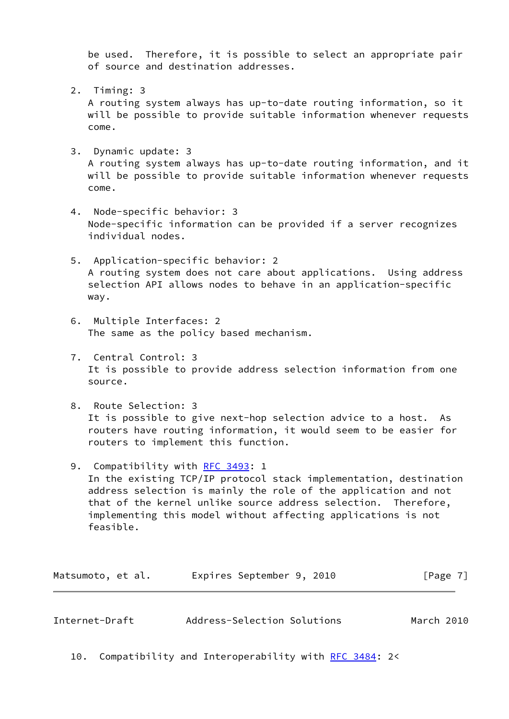be used. Therefore, it is possible to select an appropriate pair of source and destination addresses.

2. Timing: 3

 A routing system always has up-to-date routing information, so it will be possible to provide suitable information whenever requests come.

3. Dynamic update: 3

 A routing system always has up-to-date routing information, and it will be possible to provide suitable information whenever requests come.

- 4. Node-specific behavior: 3 Node-specific information can be provided if a server recognizes individual nodes.
- 5. Application-specific behavior: 2 A routing system does not care about applications. Using address selection API allows nodes to behave in an application-specific way.
- 6. Multiple Interfaces: 2 The same as the policy based mechanism.
- 7. Central Control: 3 It is possible to provide address selection information from one source.
- 8. Route Selection: 3 It is possible to give next-hop selection advice to a host. As routers have routing information, it would seem to be easier for routers to implement this function.
- 9. Compatibility with [RFC 3493:](https://datatracker.ietf.org/doc/pdf/rfc3493) 1 In the existing TCP/IP protocol stack implementation, destination address selection is mainly the role of the application and not that of the kernel unlike source address selection. Therefore, implementing this model without affecting applications is not feasible.

| Matsumoto, et al. | Expires September 9, 2010 | [Page 7] |
|-------------------|---------------------------|----------|
|-------------------|---------------------------|----------|

<span id="page-7-0"></span>

| Internet-Draft | Address-Selection Solutions | March 2010 |  |
|----------------|-----------------------------|------------|--|
|                |                             |            |  |

10. Compatibility and Interoperability with [RFC 3484](https://datatracker.ietf.org/doc/pdf/rfc3484): 2<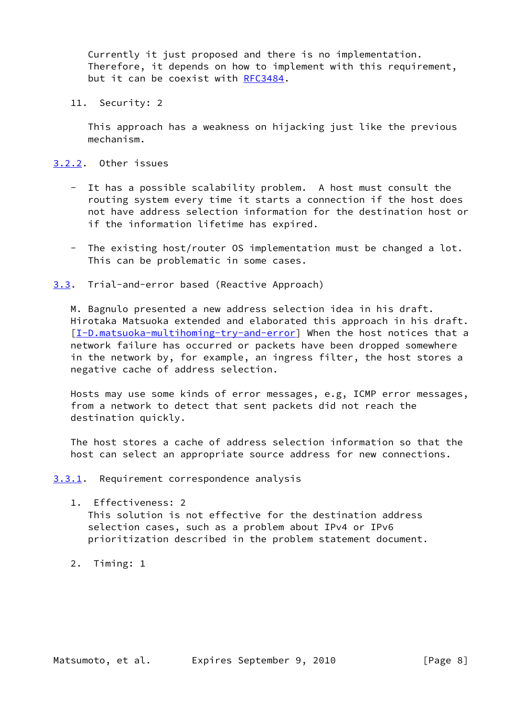Currently it just proposed and there is no implementation. Therefore, it depends on how to implement with this requirement, but it can be coexist with [RFC3484](https://datatracker.ietf.org/doc/pdf/rfc3484).

11. Security: 2

 This approach has a weakness on hijacking just like the previous mechanism.

- <span id="page-8-0"></span>[3.2.2](#page-8-0). Other issues
	- It has a possible scalability problem. A host must consult the routing system every time it starts a connection if the host does not have address selection information for the destination host or if the information lifetime has expired.
	- The existing host/router OS implementation must be changed a lot. This can be problematic in some cases.
- <span id="page-8-1"></span>[3.3](#page-8-1). Trial-and-error based (Reactive Approach)

 M. Bagnulo presented a new address selection idea in his draft. Hirotaka Matsuoka extended and elaborated this approach in his draft. [\[I-D.matsuoka-multihoming-try-and-error](#page-16-4)] When the host notices that a network failure has occurred or packets have been dropped somewhere in the network by, for example, an ingress filter, the host stores a negative cache of address selection.

 Hosts may use some kinds of error messages, e.g, ICMP error messages, from a network to detect that sent packets did not reach the destination quickly.

 The host stores a cache of address selection information so that the host can select an appropriate source address for new connections.

<span id="page-8-2"></span>[3.3.1](#page-8-2). Requirement correspondence analysis

- 1. Effectiveness: 2 This solution is not effective for the destination address selection cases, such as a problem about IPv4 or IPv6 prioritization described in the problem statement document.
- 2. Timing: 1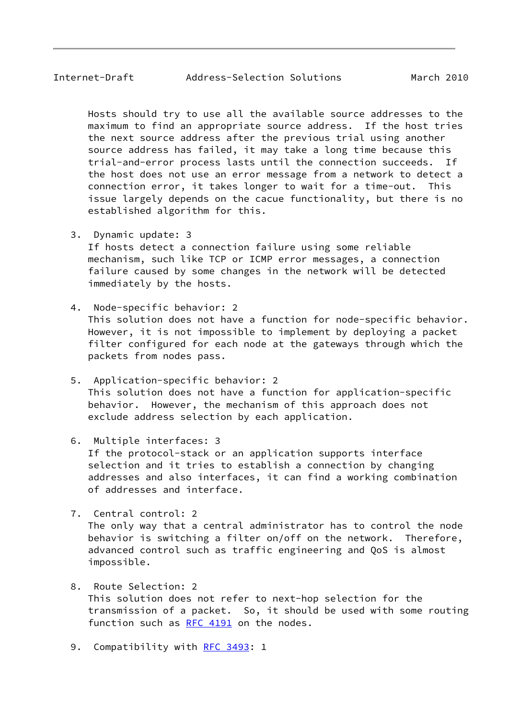Hosts should try to use all the available source addresses to the maximum to find an appropriate source address. If the host tries the next source address after the previous trial using another source address has failed, it may take a long time because this trial-and-error process lasts until the connection succeeds. If the host does not use an error message from a network to detect a connection error, it takes longer to wait for a time-out. This issue largely depends on the cacue functionality, but there is no established algorithm for this.

- 3. Dynamic update: 3 If hosts detect a connection failure using some reliable mechanism, such like TCP or ICMP error messages, a connection failure caused by some changes in the network will be detected immediately by the hosts.
- 4. Node-specific behavior: 2 This solution does not have a function for node-specific behavior. However, it is not impossible to implement by deploying a packet filter configured for each node at the gateways through which the packets from nodes pass.
- 5. Application-specific behavior: 2 This solution does not have a function for application-specific behavior. However, the mechanism of this approach does not exclude address selection by each application.
- 6. Multiple interfaces: 3 If the protocol-stack or an application supports interface

 selection and it tries to establish a connection by changing addresses and also interfaces, it can find a working combination of addresses and interface.

7. Central control: 2

 The only way that a central administrator has to control the node behavior is switching a filter on/off on the network. Therefore, advanced control such as traffic engineering and QoS is almost impossible.

- 8. Route Selection: 2 This solution does not refer to next-hop selection for the transmission of a packet. So, it should be used with some routing function such as [RFC 4191](https://datatracker.ietf.org/doc/pdf/rfc4191) on the nodes.
- 9. Compatibility with [RFC 3493:](https://datatracker.ietf.org/doc/pdf/rfc3493) 1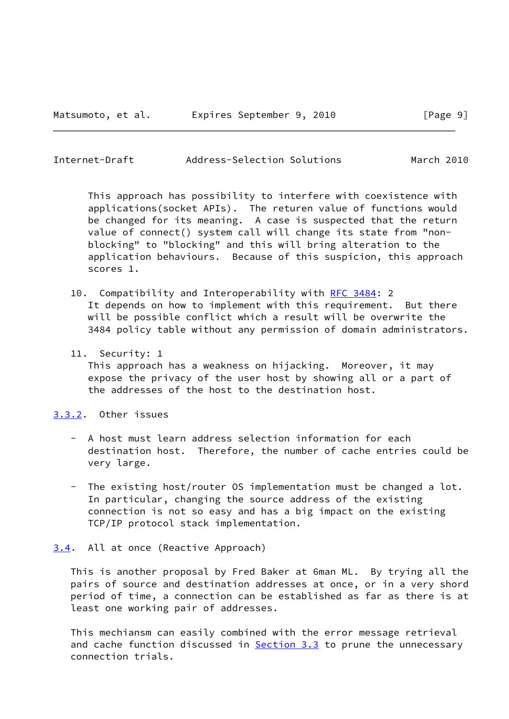<span id="page-10-1"></span>Internet-Draft Address-Selection Solutions March 2010

 This approach has possibility to interfere with coexistence with applications(socket APIs). The returen value of functions would be changed for its meaning. A case is suspected that the return value of connect() system call will change its state from "non blocking" to "blocking" and this will bring alteration to the application behaviours. Because of this suspicion, this approach scores 1.

- 10. Compatibility and Interoperability with [RFC 3484](https://datatracker.ietf.org/doc/pdf/rfc3484): 2 It depends on how to implement with this requirement. But there will be possible conflict which a result will be overwrite the 3484 policy table without any permission of domain administrators.
- 11. Security: 1 This approach has a weakness on hijacking. Moreover, it may expose the privacy of the user host by showing all or a part of the addresses of the host to the destination host.

#### <span id="page-10-0"></span>[3.3.2](#page-10-0). Other issues

- A host must learn address selection information for each destination host. Therefore, the number of cache entries could be very large.
- The existing host/router OS implementation must be changed a lot. In particular, changing the source address of the existing connection is not so easy and has a big impact on the existing TCP/IP protocol stack implementation.

### <span id="page-10-2"></span>[3.4](#page-10-2). All at once (Reactive Approach)

 This is another proposal by Fred Baker at 6man ML. By trying all the pairs of source and destination addresses at once, or in a very shord period of time, a connection can be established as far as there is at least one working pair of addresses.

 This mechiansm can easily combined with the error message retrieval and cache function discussed in **Section 3.3** to prune the unnecessary connection trials.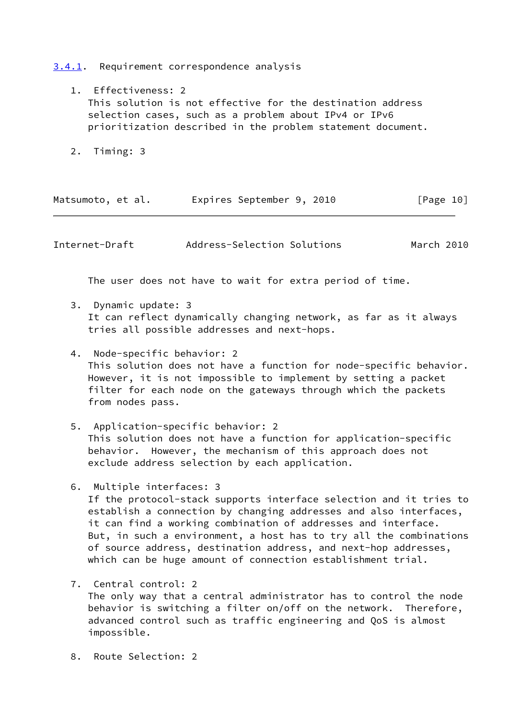<span id="page-11-0"></span>[3.4.1](#page-11-0). Requirement correspondence analysis

- 1. Effectiveness: 2 This solution is not effective for the destination address selection cases, such as a problem about IPv4 or IPv6 prioritization described in the problem statement document.
- 2. Timing: 3

| Matsumoto, et al. | Expires September 9, 2010 | [Page 10] |
|-------------------|---------------------------|-----------|
|-------------------|---------------------------|-----------|

Internet-Draft Address-Selection Solutions March 2010

The user does not have to wait for extra period of time.

- 3. Dynamic update: 3 It can reflect dynamically changing network, as far as it always tries all possible addresses and next-hops.
- 4. Node-specific behavior: 2 This solution does not have a function for node-specific behavior. However, it is not impossible to implement by setting a packet filter for each node on the gateways through which the packets from nodes pass.
- 5. Application-specific behavior: 2 This solution does not have a function for application-specific behavior. However, the mechanism of this approach does not exclude address selection by each application.
- 6. Multiple interfaces: 3 If the protocol-stack supports interface selection and it tries to establish a connection by changing addresses and also interfaces, it can find a working combination of addresses and interface. But, in such a environment, a host has to try all the combinations of source address, destination address, and next-hop addresses, which can be huge amount of connection establishment trial.
- 7. Central control: 2 The only way that a central administrator has to control the node behavior is switching a filter on/off on the network. Therefore, advanced control such as traffic engineering and QoS is almost impossible.
- 8. Route Selection: 2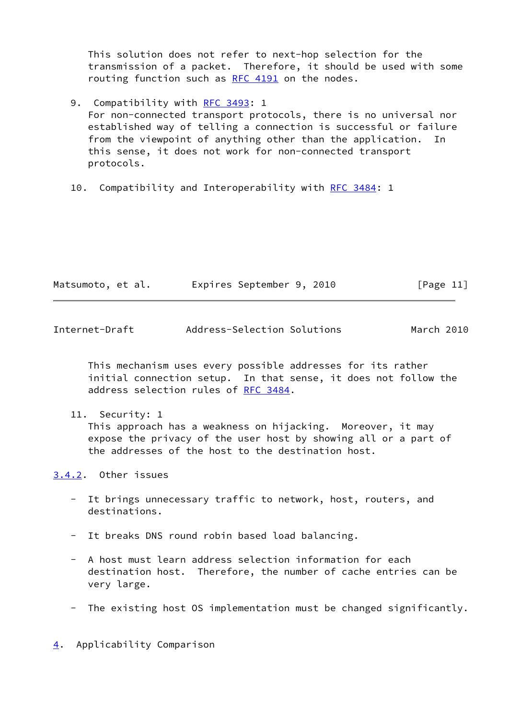This solution does not refer to next-hop selection for the transmission of a packet. Therefore, it should be used with some routing function such as [RFC 4191](https://datatracker.ietf.org/doc/pdf/rfc4191) on the nodes.

- 9. Compatibility with [RFC 3493:](https://datatracker.ietf.org/doc/pdf/rfc3493) 1 For non-connected transport protocols, there is no universal nor established way of telling a connection is successful or failure from the viewpoint of anything other than the application. In this sense, it does not work for non-connected transport protocols.
- 10. Compatibility and Interoperability with [RFC 3484](https://datatracker.ietf.org/doc/pdf/rfc3484): 1

| Matsumoto, et al. | Expires September 9, 2010 |  | [Page 11] |
|-------------------|---------------------------|--|-----------|
|-------------------|---------------------------|--|-----------|

<span id="page-12-1"></span>

| Internet-Draft | Address-Selection Solutions | March 2010 |  |
|----------------|-----------------------------|------------|--|
|                |                             |            |  |

 This mechanism uses every possible addresses for its rather initial connection setup. In that sense, it does not follow the address selection rules of [RFC 3484](https://datatracker.ietf.org/doc/pdf/rfc3484).

11. Security: 1

 This approach has a weakness on hijacking. Moreover, it may expose the privacy of the user host by showing all or a part of the addresses of the host to the destination host.

<span id="page-12-0"></span>[3.4.2](#page-12-0). Other issues

- It brings unnecessary traffic to network, host, routers, and destinations.
- It breaks DNS round robin based load balancing.
- A host must learn address selection information for each destination host. Therefore, the number of cache entries can be very large.
- The existing host OS implementation must be changed significantly.

<span id="page-12-2"></span>[4](#page-12-2). Applicability Comparison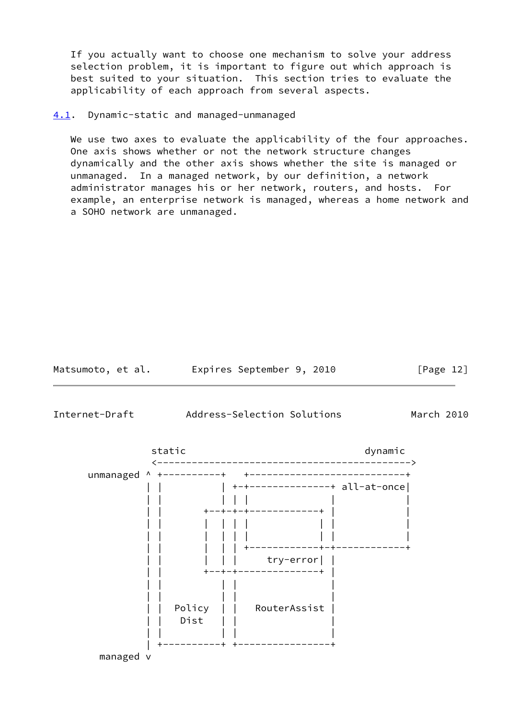If you actually want to choose one mechanism to solve your address selection problem, it is important to figure out which approach is best suited to your situation. This section tries to evaluate the applicability of each approach from several aspects.

### <span id="page-13-0"></span>[4.1](#page-13-0). Dynamic-static and managed-unmanaged

We use two axes to evaluate the applicability of the four approaches. One axis shows whether or not the network structure changes dynamically and the other axis shows whether the site is managed or unmanaged. In a managed network, by our definition, a network administrator manages his or her network, routers, and hosts. For example, an enterprise network is managed, whereas a home network and a SOHO network are unmanaged.

Matsumoto, et al. Expires September 9, 2010 [Page 12]

Internet-Draft Address-Selection Solutions March 2010

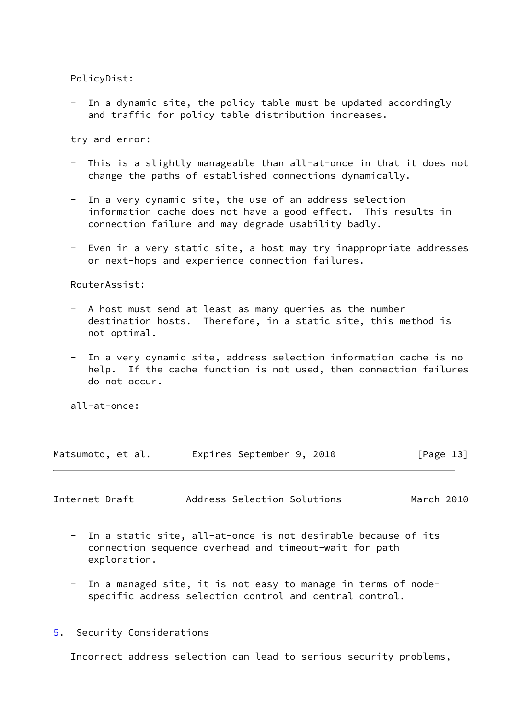PolicyDist:

In a dynamic site, the policy table must be updated accordingly and traffic for policy table distribution increases.

try-and-error:

- This is a slightly manageable than all-at-once in that it does not change the paths of established connections dynamically.
- In a very dynamic site, the use of an address selection information cache does not have a good effect. This results in connection failure and may degrade usability badly.
- Even in a very static site, a host may try inappropriate addresses or next-hops and experience connection failures.

RouterAssist:

- A host must send at least as many queries as the number destination hosts. Therefore, in a static site, this method is not optimal.
- In a very dynamic site, address selection information cache is no help. If the cache function is not used, then connection failures do not occur.

all-at-once:

|  | Matsumoto, et al. |  | Expires September 9, 2010 |  | [Page 13] |  |
|--|-------------------|--|---------------------------|--|-----------|--|
|--|-------------------|--|---------------------------|--|-----------|--|

<span id="page-14-1"></span>Internet-Draft Address-Selection Solutions March 2010

- In a static site, all-at-once is not desirable because of its connection sequence overhead and timeout-wait for path exploration.
- In a managed site, it is not easy to manage in terms of node specific address selection control and central control.
- <span id="page-14-0"></span>[5](#page-14-0). Security Considerations

Incorrect address selection can lead to serious security problems,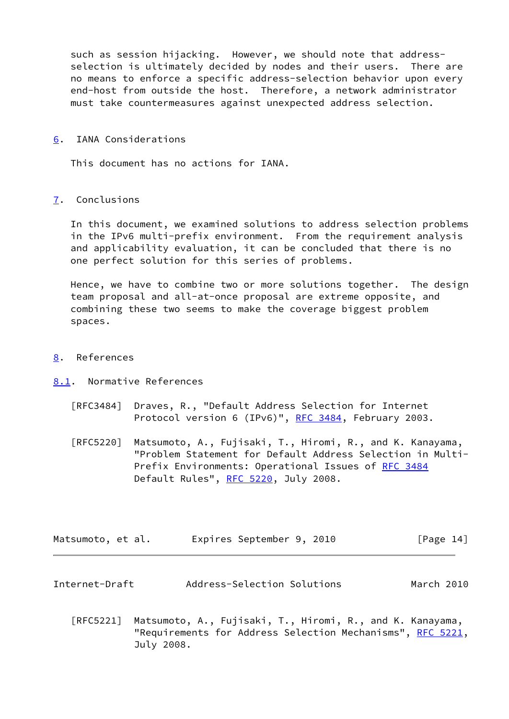such as session hijacking. However, we should note that address selection is ultimately decided by nodes and their users. There are no means to enforce a specific address-selection behavior upon every end-host from outside the host. Therefore, a network administrator must take countermeasures against unexpected address selection.

### <span id="page-15-0"></span>[6](#page-15-0). IANA Considerations

This document has no actions for IANA.

### <span id="page-15-1"></span>[7](#page-15-1). Conclusions

 In this document, we examined solutions to address selection problems in the IPv6 multi-prefix environment. From the requirement analysis and applicability evaluation, it can be concluded that there is no one perfect solution for this series of problems.

 Hence, we have to combine two or more solutions together. The design team proposal and all-at-once proposal are extreme opposite, and combining these two seems to make the coverage biggest problem spaces.

## <span id="page-15-2"></span>[8](#page-15-2). References

- <span id="page-15-3"></span>[8.1](#page-15-3). Normative References
	- [RFC3484] Draves, R., "Default Address Selection for Internet Protocol version 6 (IPv6)", [RFC 3484,](https://datatracker.ietf.org/doc/pdf/rfc3484) February 2003.
	- [RFC5220] Matsumoto, A., Fujisaki, T., Hiromi, R., and K. Kanayama, "Problem Statement for Default Address Selection in Multi- Prefix Environments: Operational Issues of [RFC 3484](https://datatracker.ietf.org/doc/pdf/rfc3484) Default Rules", [RFC 5220,](https://datatracker.ietf.org/doc/pdf/rfc5220) July 2008.

| Matsumoto, et al. |  | Expires September 9, 2010 |  |  | [Page 14] |  |
|-------------------|--|---------------------------|--|--|-----------|--|
|-------------------|--|---------------------------|--|--|-----------|--|

- <span id="page-15-4"></span>Internet-Draft Address-Selection Solutions March 2010
	- [RFC5221] Matsumoto, A., Fujisaki, T., Hiromi, R., and K. Kanayama, "Requirements for Address Selection Mechanisms", [RFC 5221,](https://datatracker.ietf.org/doc/pdf/rfc5221) July 2008.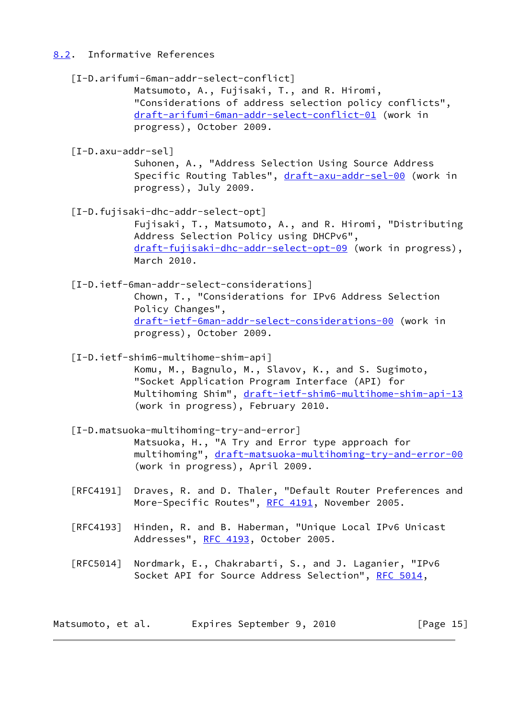# <span id="page-16-0"></span>[8.2](#page-16-0). Informative References

<span id="page-16-5"></span><span id="page-16-4"></span><span id="page-16-3"></span><span id="page-16-2"></span><span id="page-16-1"></span>

|                                  | [I-D.arifumi-6man-addr-select-conflict]<br>Matsumoto, A., Fujisaki, T., and R. Hiromi,<br>"Considerations of address selection policy conflicts",<br>draft-arifumi-6man-addr-select-conflict-01 (work in<br>progress), October 2009.             |              |
|----------------------------------|--------------------------------------------------------------------------------------------------------------------------------------------------------------------------------------------------------------------------------------------------|--------------|
| $[I-D.axu-addr-sel]$             | Suhonen, A., "Address Selection Using Source Address<br>Specific Routing Tables", draft-axu-addr-sel-00 (work in<br>progress), July 2009.                                                                                                        |              |
|                                  | [I-D.fujisaki-dhc-addr-select-opt]<br>Fujisaki, T., Matsumoto, A., and R. Hiromi, "Distributing<br>Address Selection Policy using DHCPv6",<br>draft-fujisaki-dhc-addr-select-opt-09 (work in progress),<br>March 2010.                           |              |
|                                  | [I-D.ietf-6man-addr-select-considerations]<br>Chown, T., "Considerations for IPv6 Address Selection<br>Policy Changes",<br>draft-ietf-6man-addr-select-considerations-00 (work in<br>progress), October 2009.                                    |              |
|                                  | [I-D.ietf-shim6-multihome-shim-api]<br>Komu, M., Bagnulo, M., Slavov, K., and S. Sugimoto,<br>"Socket Application Program Interface (API) for<br>Multihoming Shim", draft-ietf-shim6-multihome-shim-api-13<br>(work in progress), February 2010. |              |
|                                  | [I-D.matsuoka-multihoming-try-and-error]<br>Matsuoka, H., "A Try and Error type approach for<br>multihoming", draft-matsuoka-multihoming-try-and-error-00<br>(work in progress), April 2009.                                                     |              |
| [RFC4191]                        | Draves, R. and D. Thaler, "Default Router Preferences and<br>More-Specific Routes", RFC 4191, November 2005.                                                                                                                                     |              |
| [RFC4193]                        | Hinden, R. and B. Haberman, "Unique Local IPv6 Unicast<br>Addresses", RFC 4193, October 2005.                                                                                                                                                    |              |
| $\lceil \mathsf{RFC5014} \rceil$ | Nordmark, E., Chakrabarti, S., and J. Laganier, "IPv6<br>Socket API for Source Address Selection", RFC 5014,                                                                                                                                     |              |
| Matsumoto, et al.                | Expires September 9, 2010                                                                                                                                                                                                                        | [Page $15$ ] |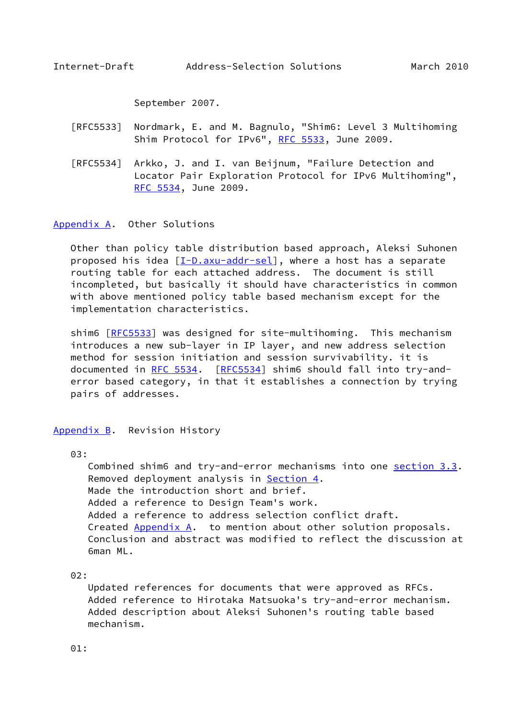September 2007.

- <span id="page-17-1"></span> [RFC5533] Nordmark, E. and M. Bagnulo, "Shim6: Level 3 Multihoming Shim Protocol for IPv6", [RFC 5533,](https://datatracker.ietf.org/doc/pdf/rfc5533) June 2009.
- [RFC5534] Arkko, J. and I. van Beijnum, "Failure Detection and Locator Pair Exploration Protocol for IPv6 Multihoming", [RFC 5534,](https://datatracker.ietf.org/doc/pdf/rfc5534) June 2009.

### <span id="page-17-0"></span>[Appendix A.](#page-17-0) Other Solutions

 Other than policy table distribution based approach, Aleksi Suhonen proposed his idea [[I-D.axu-addr-sel\]](#page-16-5), where a host has a separate routing table for each attached address. The document is still incompleted, but basically it should have characteristics in common with above mentioned policy table based mechanism except for the implementation characteristics.

shim6 [[RFC5533](https://datatracker.ietf.org/doc/pdf/rfc5533)] was designed for site-multihoming. This mechanism introduces a new sub-layer in IP layer, and new address selection method for session initiation and session survivability. it is documented in [RFC 5534](https://datatracker.ietf.org/doc/pdf/rfc5534). [\[RFC5534](https://datatracker.ietf.org/doc/pdf/rfc5534)] shim6 should fall into try-and error based category, in that it establishes a connection by trying pairs of addresses.

<span id="page-17-2"></span>[Appendix B.](#page-17-2) Revision History

03:

 Combined shim6 and try-and-error mechanisms into one [section 3.3](#page-8-1). Removed deployment analysis in [Section 4.](#page-12-2) Made the introduction short and brief. Added a reference to Design Team's work. Added a reference to address selection conflict draft. Created [Appendix A.](#page-17-0) to mention about other solution proposals. Conclusion and abstract was modified to reflect the discussion at 6man ML.

02:

 Updated references for documents that were approved as RFCs. Added reference to Hirotaka Matsuoka's try-and-error mechanism. Added description about Aleksi Suhonen's routing table based mechanism.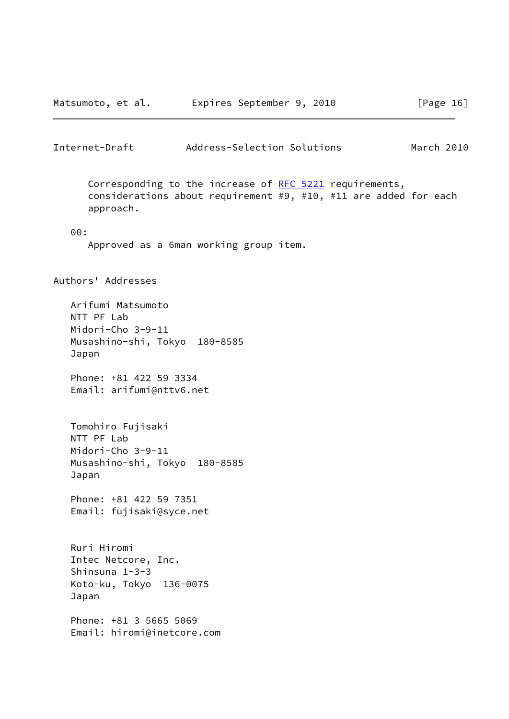<span id="page-18-0"></span>

| Internet-Draft                                                                                 | Address-Selection Solutions                                                                                                 | March 2010 |  |  |
|------------------------------------------------------------------------------------------------|-----------------------------------------------------------------------------------------------------------------------------|------------|--|--|
|                                                                                                |                                                                                                                             |            |  |  |
| approach.                                                                                      | Corresponding to the increase of RFC 5221 requirements,<br>considerations about requirement #9, #10, #11 are added for each |            |  |  |
| 00:                                                                                            |                                                                                                                             |            |  |  |
|                                                                                                | Approved as a 6man working group item.                                                                                      |            |  |  |
| Authors' Addresses                                                                             |                                                                                                                             |            |  |  |
| Arifumi Matsumoto<br>NTT PF Lab<br>Midori-Cho 3-9-11<br>Musashino-shi, Tokyo 180-8585<br>Japan |                                                                                                                             |            |  |  |
| Phone: +81 422 59 3334<br>Email: arifumi@nttv6.net                                             |                                                                                                                             |            |  |  |
| Tomohiro Fujisaki<br>NTT PF Lab<br>Midori-Cho 3-9-11<br>Musashino-shi, Tokyo 180-8585<br>Japan |                                                                                                                             |            |  |  |
| Phone: +81 422 59 7351<br>Email: fujisaki@syce.net                                             |                                                                                                                             |            |  |  |
| Ruri Hiromi<br>Intec Netcore, Inc.<br>Shinsuna $1-3-3$<br>Koto-ku, Tokyo 136-0075<br>Japan     |                                                                                                                             |            |  |  |
| Phone: +81 3 5665 5069<br>Email: hiromi@inetcore.com                                           |                                                                                                                             |            |  |  |